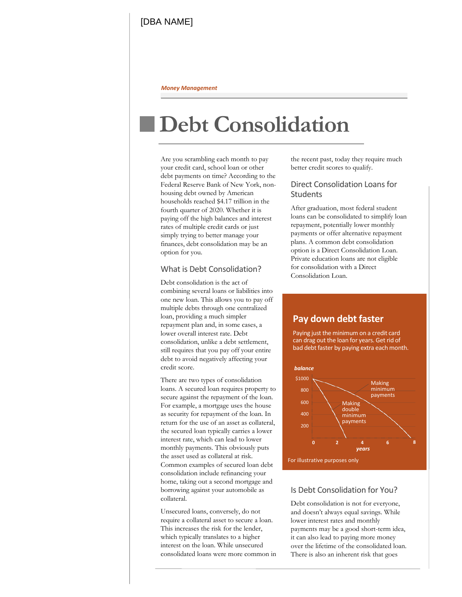#### *Money Management*

# **Debt Consolidation**

Are you scrambling each month to pay your credit card, school loan or other debt payments on time? According to the Federal Reserve Bank of New York, nonhousing debt owned by American households reached \$4.17 trillion in the fourth quarter of 2020. Whether it is paying off the high balances and interest rates of multiple credit cards or just simply trying to better manage your finances, debt consolidation may be an option for you.

### What is Debt Consolidation?

Debt consolidation is the act of combining several loans or liabilities into one new loan. This allows you to pay off multiple debts through one centralized loan, providing a much simpler repayment plan and, in some cases, a lower overall interest rate. Debt consolidation, unlike a debt settlement, still requires that you pay off your entire debt to avoid negatively affecting your credit score.

There are two types of consolidation loans. A secured loan requires property to secure against the repayment of the loan. For example, a mortgage uses the house as security for repayment of the loan. In return for the use of an asset as collateral, the secured loan typically carries a lower interest rate, which can lead to lower monthly payments. This obviously puts the asset used as collateral at risk. Common examples of secured loan debt consolidation include refinancing your home, taking out a second mortgage and borrowing against your automobile as collateral.

Unsecured loans, conversely, do not require a collateral asset to secure a loan. This increases the risk for the lender, which typically translates to a higher interest on the loan. While unsecured consolidated loans were more common in the recent past, today they require much better credit scores to qualify.

### Direct Consolidation Loans for **Students**

After graduation, most federal student loans can be consolidated to simplify loan repayment, potentially lower monthly payments or offer alternative repayment plans. A common debt consolidation option is a Direct Consolidation Loan. Private education loans are not eligible for consolidation with a Direct Consolidation Loan.

## **Pay down debt faster**

 Paying just the minimum on a credit card can drag out the loan for years. Get rid of bad debt faster by paying extra each month.



#### Is Debt Consolidation for You?

Debt consolidation is not for everyone, and doesn't always equal savings. While lower interest rates and monthly payments may be a good short-term idea, it can also lead to paying more money over the lifetime of the consolidated loan. There is also an inherent risk that goes